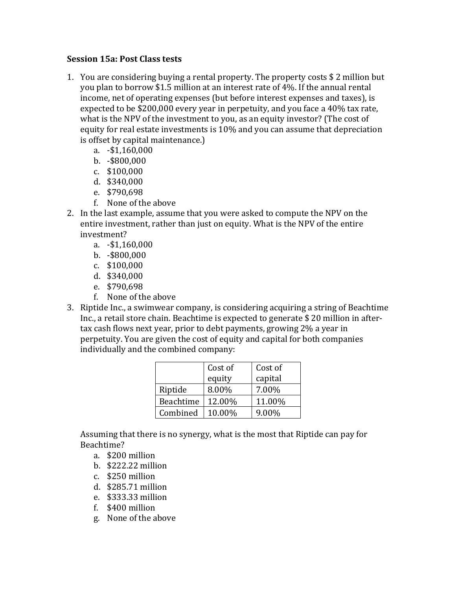## **Session 15a**: Post Class tests

- 1. You are considering buying a rental property. The property costs  $$2$  million but you plan to borrow \$1.5 million at an interest rate of 4%. If the annual rental income, net of operating expenses (but before interest expenses and taxes), is expected to be  $$200,000$  every year in perpetuity, and you face a 40% tax rate, what is the NPV of the investment to you, as an equity investor? (The cost of equity for real estate investments is 10% and you can assume that depreciation is offset by capital maintenance.)
	- a. -\$1,160,000
	- b. -\$800,000
	- c. \$100,000
	- d. \$340,000
	- e. \$790,698
	- f. None of the above
- 2. In the last example, assume that you were asked to compute the NPV on the entire investment, rather than just on equity. What is the NPV of the entire investment?
	- a. -\$1,160,000
	- b. -\$800,000
	- c. \$100,000
	- d. \$340,000
	- e. \$790,698
	- f. None of the above
- 3. Riptide Inc., a swimwear company, is considering acquiring a string of Beachtime Inc., a retail store chain. Beachtime is expected to generate  $$20$  million in aftertax cash flows next year, prior to debt payments, growing 2% a year in perpetuity. You are given the cost of equity and capital for both companies individually and the combined company:

|           | Cost of | Cost of |
|-----------|---------|---------|
|           | equity  | capital |
| Riptide   | 8.00%   | 7.00%   |
| Beachtime | 12.00%  | 11.00%  |
| Combined  | 10.00%  | 9.00%   |

Assuming that there is no synergy, what is the most that Riptide can pay for Beachtime?

- a. \$200 million
- b. \$222.22 million
- c. \$250 million
- d. \$285.71 million
- e. \$333.33 million
- f. \$400 million
- g. None of the above